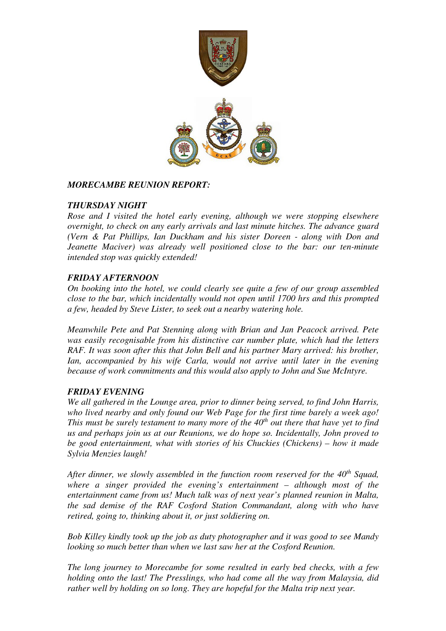

#### *MORECAMBE REUNION REPORT:*

## *THURSDAY NIGHT*

*Rose and I visited the hotel early evening, although we were stopping elsewhere overnight, to check on any early arrivals and last minute hitches. The advance guard (Vern & Pat Phillips, Ian Duckham and his sister Doreen - along with Don and Jeanette Maciver) was already well positioned close to the bar: our ten-minute intended stop was quickly extended!* 

## *FRIDAY AFTERNOON*

*On booking into the hotel, we could clearly see quite a few of our group assembled close to the bar, which incidentally would not open until 1700 hrs and this prompted a few, headed by Steve Lister, to seek out a nearby watering hole.* 

*Meanwhile Pete and Pat Stenning along with Brian and Jan Peacock arrived. Pete was easily recognisable from his distinctive car number plate, which had the letters RAF. It was soon after this that John Bell and his partner Mary arrived: his brother, Ian, accompanied by his wife Carla, would not arrive until later in the evening because of work commitments and this would also apply to John and Sue McIntyre.* 

# *FRIDAY EVENING*

*We all gathered in the Lounge area, prior to dinner being served, to find John Harris, who lived nearby and only found our Web Page for the first time barely a week ago!*  This must be surely testament to many more of the 40<sup>th</sup> out there that have yet to find *us and perhaps join us at our Reunions, we do hope so. Incidentally, John proved to be good entertainment, what with stories of his Chuckies (Chickens) – how it made Sylvia Menzies laugh!* 

*After dinner, we slowly assembled in the function room reserved for the 40th Squad, where a singer provided the evening's entertainment – although most of the entertainment came from us! Much talk was of next year's planned reunion in Malta, the sad demise of the RAF Cosford Station Commandant, along with who have retired, going to, thinking about it, or just soldiering on.* 

*Bob Killey kindly took up the job as duty photographer and it was good to see Mandy looking so much better than when we last saw her at the Cosford Reunion.* 

*The long journey to Morecambe for some resulted in early bed checks, with a few holding onto the last! The Presslings, who had come all the way from Malaysia, did rather well by holding on so long. They are hopeful for the Malta trip next year.*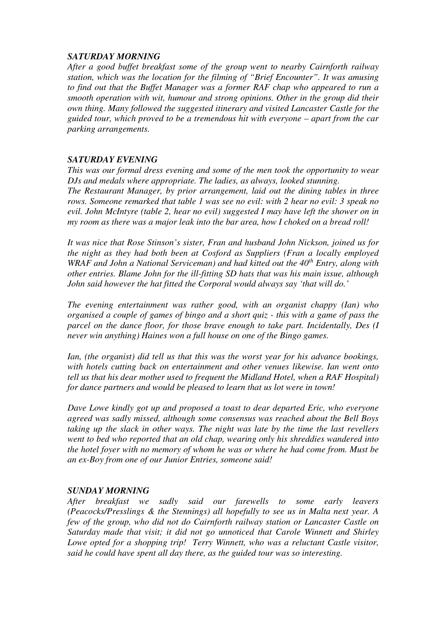#### *SATURDAY MORNING*

*After a good buffet breakfast some of the group went to nearby Cairnforth railway station, which was the location for the filming of "Brief Encounter". It was amusing to find out that the Buffet Manager was a former RAF chap who appeared to run a smooth operation with wit, humour and strong opinions. Other in the group did their own thing. Many followed the suggested itinerary and visited Lancaster Castle for the guided tour, which proved to be a tremendous hit with everyone – apart from the car parking arrangements.* 

### *SATURDAY EVENING*

*This was our formal dress evening and some of the men took the opportunity to wear DJs and medals where appropriate. The ladies, as always, looked stunning. The Restaurant Manager, by prior arrangement, laid out the dining tables in three rows. Someone remarked that table 1 was see no evil: with 2 hear no evil: 3 speak no evil. John McIntyre (table 2, hear no evil) suggested I may have left the shower on in my room as there was a major leak into the bar area, how I choked on a bread roll!* 

*It was nice that Rose Stinson's sister, Fran and husband John Nickson, joined us for the night as they had both been at Cosford as Suppliers (Fran a locally employed WRAF and John a National Serviceman) and had kitted out the 40th Entry, along with other entries. Blame John for the ill-fitting SD hats that was his main issue, although John said however the hat fitted the Corporal would always say 'that will do.'* 

*The evening entertainment was rather good, with an organist chappy (Ian) who organised a couple of games of bingo and a short quiz - this with a game of pass the parcel on the dance floor, for those brave enough to take part. Incidentally, Des (I never win anything) Haines won a full house on one of the Bingo games.* 

*Ian, (the organist) did tell us that this was the worst year for his advance bookings, with hotels cutting back on entertainment and other venues likewise. Ian went onto tell us that his dear mother used to frequent the Midland Hotel, when a RAF Hospital) for dance partners and would be pleased to learn that us lot were in town!* 

*Dave Lowe kindly got up and proposed a toast to dear departed Eric, who everyone agreed was sadly missed, although some consensus was reached about the Bell Boys taking up the slack in other ways. The night was late by the time the last revellers went to bed who reported that an old chap, wearing only his shreddies wandered into the hotel foyer with no memory of whom he was or where he had come from. Must be an ex-Boy from one of our Junior Entries, someone said!* 

#### *SUNDAY MORNING*

*After breakfast we sadly said our farewells to some early leavers (Peacocks/Presslings & the Stennings) all hopefully to see us in Malta next year. A few of the group, who did not do Cairnforth railway station or Lancaster Castle on Saturday made that visit; it did not go unnoticed that Carole Winnett and Shirley Lowe opted for a shopping trip! Terry Winnett, who was a reluctant Castle visitor, said he could have spent all day there, as the guided tour was so interesting.*